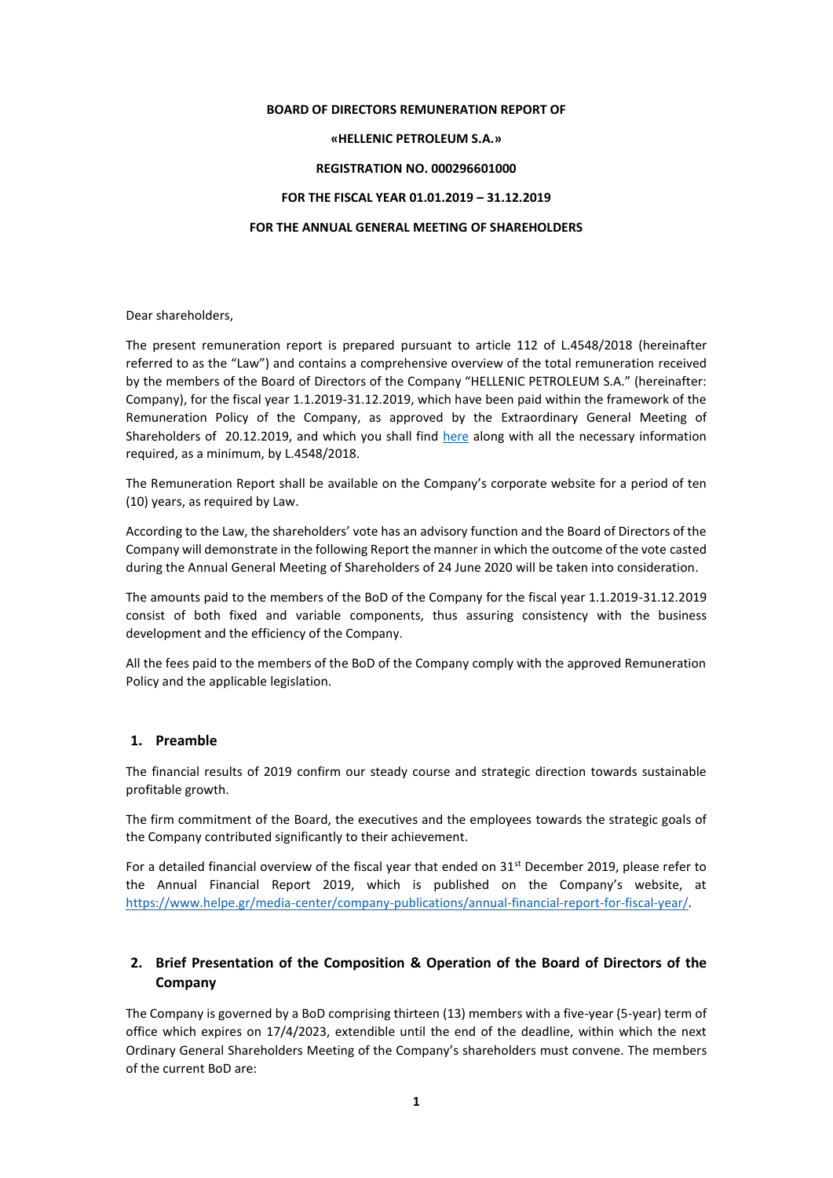#### **BOARD OF DIRECTORS REMUNERATION REPORT OF**

### **«HELLENIC PETROLEUM S.A.»**

#### **REGISTRATION NO. 000296601000**

#### **FOR THE FISCAL YEAR 01.01.2019 – 31.12.2019**

#### **FOR THE ANNUAL GENERAL MEETING OF SHAREHOLDERS**

Dear shareholders,

The present remuneration report is prepared pursuant to article 112 of L.4548/2018 (hereinafter referred to as the "Law") and contains a comprehensive overview of the total remuneration received by the members of the Board of Directors of the Company "HELLENIC PETROLEUM S.A." (hereinafter: Company), for the fiscal year 1.1.2019-31.12.2019, which have been paid within the framework of the Remuneration Policy of the Company, as approved by the Extraordinary General Meeting of Shareholders of 20.12.2019, and which you shall find [here](https://www.helpe.gr/investor-relations/corporate-governance/politiki-apodochon-melon-%20ds/) along with all the necessary information required, as a minimum, by L.4548/2018.

The Remuneration Report shall be available on the Company's corporate website for a period of ten (10) years, as required by Law.

According to the Law, the shareholders' vote has an advisory function and the Board of Directors of the Company will demonstrate in the following Report the manner in which the outcome of the vote casted during the Annual General Meeting of Shareholders of 24 June 2020 will be taken into consideration.

The amounts paid to the members of the BoD of the Company for the fiscal year 1.1.2019-31.12.2019 consist of both fixed and variable components, thus assuring consistency with the business development and the efficiency of the Company.

All the fees paid to the members of the BoD of the Company comply with the approved Remuneration Policy and the applicable legislation.

#### **1. Preamble**

The financial results of 2019 confirm our steady course and strategic direction towards sustainable profitable growth.

The firm commitment of the Board, the executives and the employees towards the strategic goals of the Company contributed significantly to their achievement.

For a detailed financial overview of the fiscal year that ended on  $31<sup>st</sup>$  December 2019, please refer to the Annual Financial Report 2019, which is published on the Company's website, at [https://www.helpe.gr/media-center/company-publications/annual-financial-report-for-fiscal-year/.](https://www.helpe.gr/media-center/company-publications/annual-financial-report-for-fiscal-year/)

# **2. Brief Presentation of the Composition & Operation of the Board of Directors of the Company**

The Company is governed by a BoD comprising thirteen (13) members with a five-year (5-year) term of office which expires on 17/4/2023, extendible until the end of the deadline, within which the next Ordinary General Shareholders Meeting of the Company's shareholders must convene. The members of the current BoD are: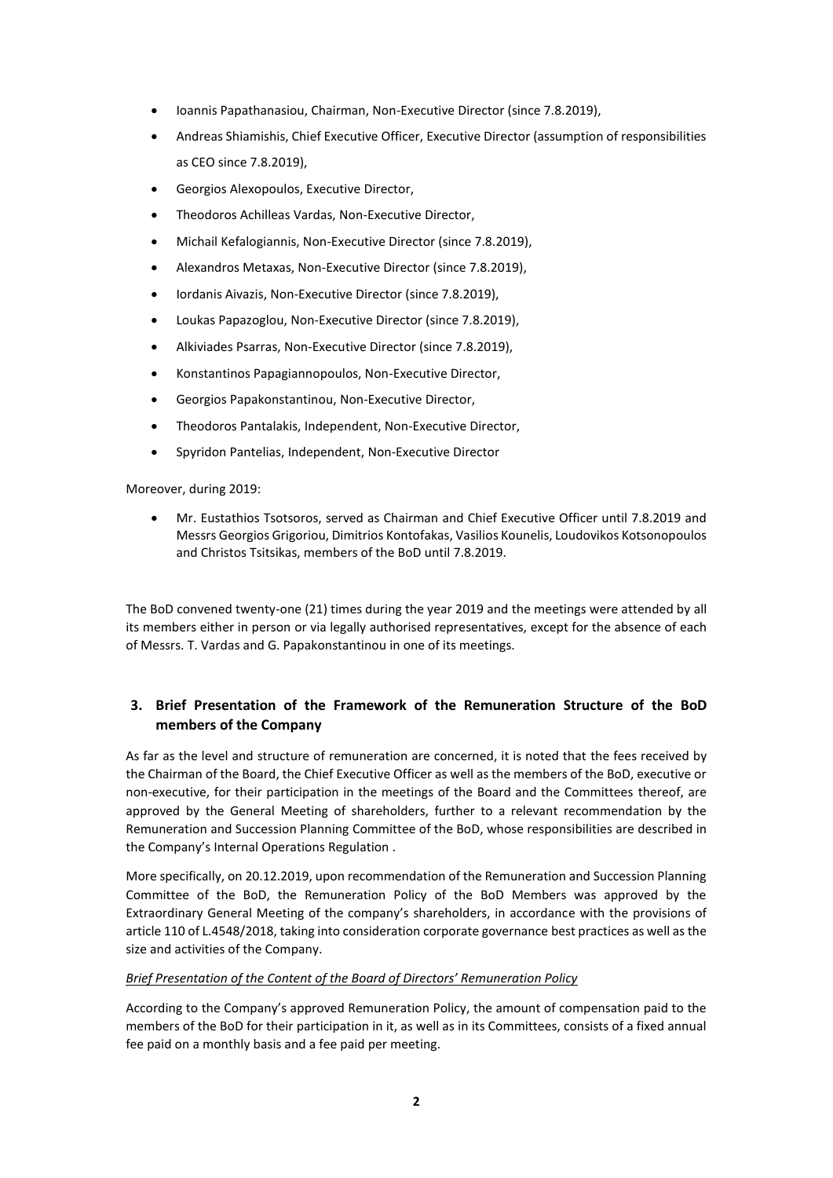- Ioannis Papathanasiou, Chairman, Non-Executive Director (since 7.8.2019),
- Andreas Shiamishis, Chief Executive Officer, Executive Director (assumption of responsibilities as CEO since 7.8.2019),
- Georgios Alexopoulos, Executive Director,
- Theodoros Achilleas Vardas, Non-Executive Director,
- Michail Kefalogiannis, Non-Executive Director (since 7.8.2019),
- Alexandros Metaxas, Non-Executive Director (since 7.8.2019),
- Iordanis Aivazis, Non-Executive Director (since 7.8.2019),
- Loukas Papazoglou, Non-Executive Director (since 7.8.2019),
- Alkiviades Psarras, Non-Executive Director (since 7.8.2019),
- Konstantinos Papagiannopoulos, Non-Executive Director,
- Georgios Papakonstantinou, Non-Executive Director,
- Theodoros Pantalakis, Independent, Non-Executive Director,
- Spyridon Pantelias, Independent, Non-Executive Director

Moreover, during 2019:

 Mr. Eustathios Tsotsoros, served as Chairman and Chief Executive Officer until 7.8.2019 and Messrs Georgios Grigoriou, Dimitrios Kontofakas, Vasilios Kounelis, Loudovikos Kotsonopoulos and Christos Tsitsikas, members of the BoD until 7.8.2019.

The BoD convened twenty-one (21) times during the year 2019 and the meetings were attended by all its members either in person or via legally authorised representatives, except for the absence of each of Messrs. T. Vardas and G. Papakonstantinou in one of its meetings.

# **3. Brief Presentation of the Framework of the Remuneration Structure of the BoD members of the Company**

As far as the level and structure of remuneration are concerned, it is noted that the fees received by the Chairman of the Board, the Chief Executive Officer as well as the members of the BoD, executive or non-executive, for their participation in the meetings of the Board and the Committees thereof, are approved by the General Meeting of shareholders, further to a relevant recommendation by the Remuneration and Succession Planning Committee of the BoD, whose responsibilities are described in the Company's Internal Operations Regulation .

More specifically, on 20.12.2019, upon recommendation of the Remuneration and Succession Planning Committee of the BoD, the Remuneration Policy of the BoD Members was approved by the Extraordinary General Meeting of the company's shareholders, in accordance with the provisions of article 110 of L.4548/2018, taking into consideration corporate governance best practices as well as the size and activities of the Company.

### *Brief Presentation of the Content of the Board of Directors' Remuneration Policy*

According to the Company's approved Remuneration Policy, the amount of compensation paid to the members of the BoD for their participation in it, as well as in its Committees, consists of a fixed annual fee paid on a monthly basis and a fee paid per meeting.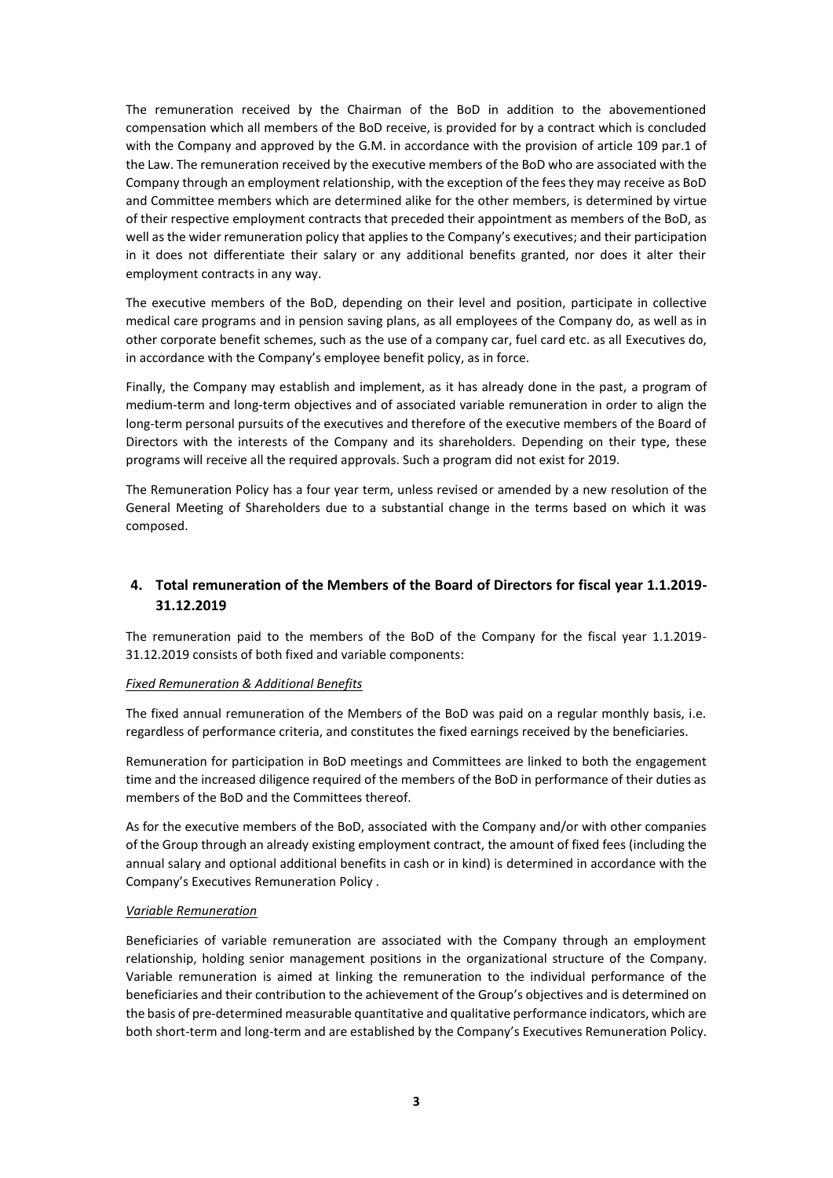The remuneration received by the Chairman of the BoD in addition to the abovementioned compensation which all members of the BoD receive, is provided for by a contract which is concluded with the Company and approved by the G.M. in accordance with the provision of article 109 par.1 of the Law. The remuneration received by the executive members of the BoD who are associated with the Company through an employment relationship, with the exception of the fees they may receive as BoD and Committee members which are determined alike for the other members, is determined by virtue of their respective employment contracts that preceded their appointment as members of the BoD, as well as the wider remuneration policy that applies to the Company's executives; and their participation in it does not differentiate their salary or any additional benefits granted, nor does it alter their employment contracts in any way.

The executive members of the BoD, depending on their level and position, participate in collective medical care programs and in pension saving plans, as all employees of the Company do, as well as in other corporate benefit schemes, such as the use of a company car, fuel card etc. as all Executives do, in accordance with the Company's employee benefit policy, as in force.

Finally, the Company may establish and implement, as it has already done in the past, a program of medium-term and long-term objectives and of associated variable remuneration in order to align the long-term personal pursuits of the executives and therefore of the executive members of the Board of Directors with the interests of the Company and its shareholders. Depending on their type, these programs will receive all the required approvals. Such a program did not exist for 2019.

The Remuneration Policy has a four year term, unless revised or amended by a new resolution of the General Meeting of Shareholders due to a substantial change in the terms based on which it was composed.

# **4. Total remuneration of the Members of the Board of Directors for fiscal year 1.1.2019- 31.12.2019**

The remuneration paid to the members of the BoD of the Company for the fiscal year 1.1.2019- 31.12.2019 consists of both fixed and variable components:

### *Fixed Remuneration & Additional Benefits*

The fixed annual remuneration of the Members of the BoD was paid on a regular monthly basis, i.e. regardless of performance criteria, and constitutes the fixed earnings received by the beneficiaries.

Remuneration for participation in BoD meetings and Committees are linked to both the engagement time and the increased diligence required of the members of the BoD in performance of their duties as members of the BoD and the Committees thereof.

As for the executive members of the BoD, associated with the Company and/or with other companies of the Group through an already existing employment contract, the amount of fixed fees (including the annual salary and optional additional benefits in cash or in kind) is determined in accordance with the Company's Executives Remuneration Policy .

### *Variable Remuneration*

Beneficiaries of variable remuneration are associated with the Company through an employment relationship, holding senior management positions in the organizational structure of the Company. Variable remuneration is aimed at linking the remuneration to the individual performance of the beneficiaries and their contribution to the achievement of the Group's objectives and is determined on the basis of pre-determined measurable quantitative and qualitative performance indicators, which are both short-term and long-term and are established by the Company's Executives Remuneration Policy.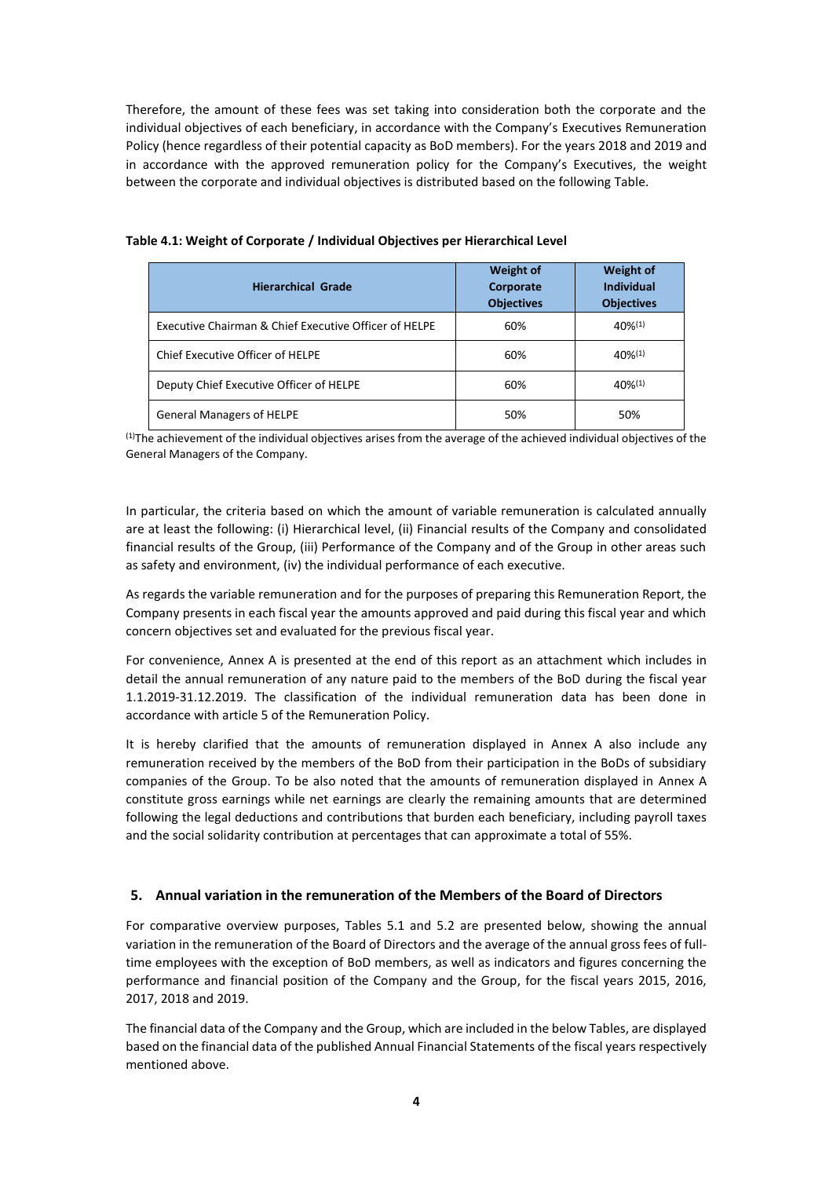Therefore, the amount of these fees was set taking into consideration both the corporate and the individual objectives of each beneficiary, in accordance with the Company's Executives Remuneration Policy (hence regardless of their potential capacity as BoD members). For the years 2018 and 2019 and in accordance with the approved remuneration policy for the Company's Executives, the weight between the corporate and individual objectives is distributed based on the following Table.

| <b>Hierarchical Grade</b>                             | <b>Weight of</b><br>Corporate<br><b>Objectives</b> | <b>Weight of</b><br><b>Individual</b><br><b>Objectives</b> |
|-------------------------------------------------------|----------------------------------------------------|------------------------------------------------------------|
| Executive Chairman & Chief Executive Officer of HELPE | 60%                                                | $40\%^{(1)}$                                               |
| Chief Executive Officer of HELPE                      | 60%                                                | $40\%^{(1)}$                                               |
| Deputy Chief Executive Officer of HELPE               | 60%                                                | $40\%^{(1)}$                                               |
| <b>General Managers of HELPE</b>                      | 50%                                                | 50%                                                        |

#### **Table 4.1: Weight of Corporate / Individual Objectives per Hierarchical Level**

(1)The achievement of the individual objectives arises from the average of the achieved individual objectives of the General Managers of the Company.

In particular, the criteria based on which the amount of variable remuneration is calculated annually are at least the following: (i) Hierarchical level, (ii) Financial results of the Company and consolidated financial results of the Group, (iii) Performance of the Company and of the Group in other areas such as safety and environment, (iv) the individual performance of each executive.

As regards the variable remuneration and for the purposes of preparing this Remuneration Report, the Company presents in each fiscal year the amounts approved and paid during this fiscal year and which concern objectives set and evaluated for the previous fiscal year.

For convenience, Annex A is presented at the end of this report as an attachment which includes in detail the annual remuneration of any nature paid to the members of the BoD during the fiscal year 1.1.2019-31.12.2019. The classification of the individual remuneration data has been done in accordance with article 5 of the Remuneration Policy.

It is hereby clarified that the amounts of remuneration displayed in Annex A also include any remuneration received by the members of the BoD from their participation in the BoDs of subsidiary companies of the Group. To be also noted that the amounts of remuneration displayed in Annex A constitute gross earnings while net earnings are clearly the remaining amounts that are determined following the legal deductions and contributions that burden each beneficiary, including payroll taxes and the social solidarity contribution at percentages that can approximate a total of 55%.

## **5. Annual variation in the remuneration of the Members of the Board of Directors**

For comparative overview purposes, Tables 5.1 and 5.2 are presented below, showing the annual variation in the remuneration of the Board of Directors and the average of the annual gross fees of fulltime employees with the exception of BoD members, as well as indicators and figures concerning the performance and financial position of the Company and the Group, for the fiscal years 2015, 2016, 2017, 2018 and 2019.

The financial data of the Company and the Group, which are included in the below Tables, are displayed based on the financial data of the published Annual Financial Statements of the fiscal years respectively mentioned above.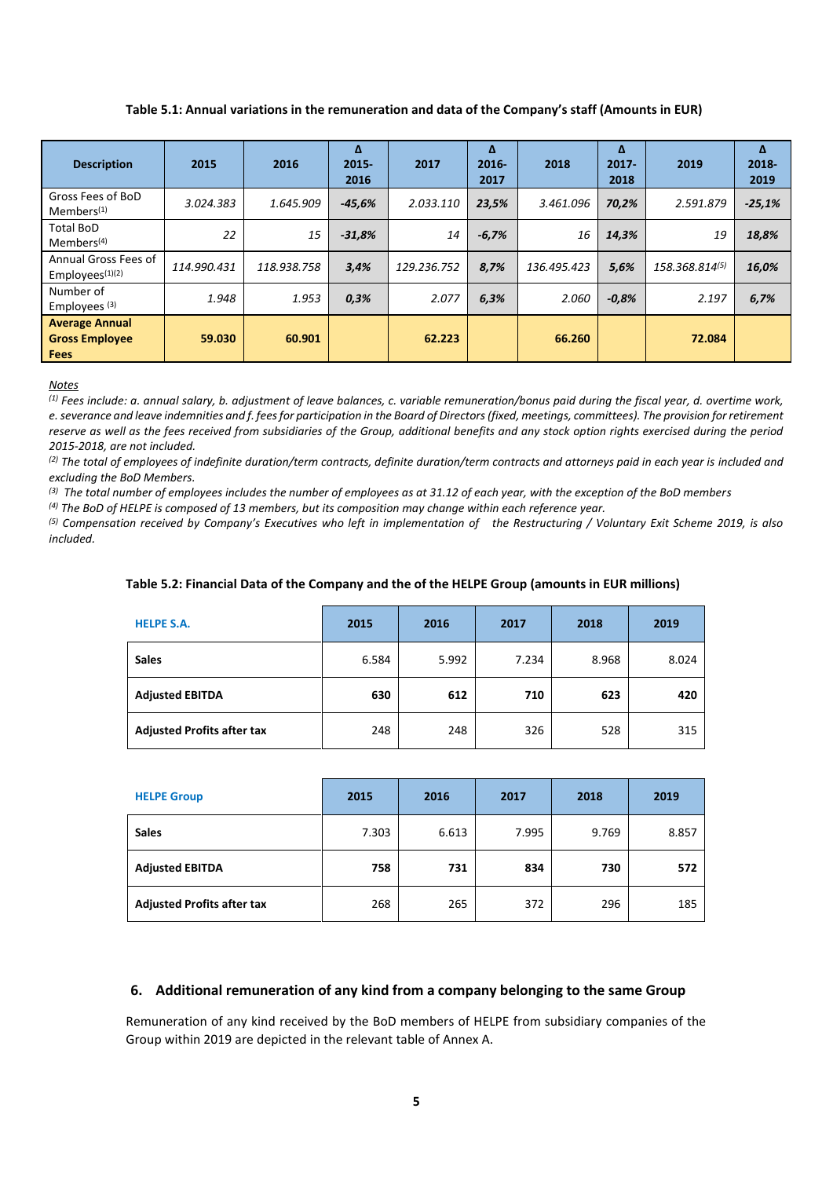**Table 5.1: Annual variations in the remuneration and data of the Company's staff (Amounts in EUR)** 

| <b>Description</b>                                            | 2015        | 2016        | Δ<br>$2015 -$<br>2016 | 2017        | Δ<br>$2016 -$<br>2017 | 2018        | Δ<br>$2017 -$<br>2018 | 2019           | Δ<br>2018-<br>2019 |
|---------------------------------------------------------------|-------------|-------------|-----------------------|-------------|-----------------------|-------------|-----------------------|----------------|--------------------|
| Gross Fees of BoD<br>$M$ embers <sup>(1)</sup>                | 3.024.383   | 1.645.909   | $-45,6%$              | 2.033.110   | 23,5%                 | 3.461.096   | 70,2%                 | 2.591.879      | $-25,1%$           |
| <b>Total BoD</b><br>Members <sup>(4)</sup>                    | 22          | 15          | $-31,8%$              | 14          | $-6,7%$               | 16          | 14,3%                 | 19             | 18,8%              |
| Annual Gross Fees of<br>Employees $(1)(2)$                    | 114.990.431 | 118.938.758 | 3,4%                  | 129.236.752 | 8,7%                  | 136.495.423 | 5,6%                  | 158.368.814(5) | 16,0%              |
| Number of<br>Employees <sup>(3)</sup>                         | 1.948       | 1.953       | 0,3%                  | 2.077       | 6,3%                  | 2.060       | $-0.8%$               | 2.197          | 6,7%               |
| <b>Average Annual</b><br><b>Gross Employee</b><br><b>Fees</b> | 59.030      | 60.901      |                       | 62.223      |                       | 66.260      |                       | 72.084         |                    |

#### *Notes*

*(1) Fees include: a. annual salary, b. adjustment of leave balances, c. variable remuneration/bonus paid during the fiscal year, d. overtime work, e. severance and leave indemnities and f. fees for participation in the Board of Directors(fixed, meetings, committees). The provision for retirement reserve as well as the fees received from subsidiaries of the Group, additional benefits and any stock option rights exercised during the period 2015-2018, are not included.*

*(2) The total of employees of indefinite duration/term contracts, definite duration/term contracts and attorneys paid in each year is included and excluding the BoD Members.*

*(3) The total number of employees includes the number of employees as at 31.12 of each year, with the exception of the BoD members*

*(4) The BoD of HELPE is composed of 13 members, but its composition may change within each reference year.*

*(5) Compensation received by Company's Executives who left in implementation of the Restructuring / Voluntary Exit Scheme 2019, is also included.*

#### **Table 5.2: Financial Data of the Company and the of the HELPE Group (amounts in EUR millions)**

| <b>HELPE S.A.</b>                 | 2015  | 2016  | 2017  | 2018  | 2019  |
|-----------------------------------|-------|-------|-------|-------|-------|
| <b>Sales</b>                      | 6.584 | 5.992 | 7.234 | 8.968 | 8.024 |
| <b>Adjusted EBITDA</b>            | 630   | 612   | 710   | 623   | 420   |
| <b>Adjusted Profits after tax</b> | 248   | 248   | 326   | 528   | 315   |

| <b>HELPE Group</b>                | 2015  | 2016  | 2017  | 2018  | 2019  |
|-----------------------------------|-------|-------|-------|-------|-------|
| <b>Sales</b>                      | 7.303 | 6.613 | 7.995 | 9.769 | 8.857 |
| <b>Adjusted EBITDA</b>            | 758   | 731   | 834   | 730   | 572   |
| <b>Adjusted Profits after tax</b> | 268   | 265   | 372   | 296   | 185   |

## **6. Additional remuneration of any kind from a company belonging to the same Group**

Remuneration of any kind received by the BoD members of HELPE from subsidiary companies of the Group within 2019 are depicted in the relevant table of Annex A.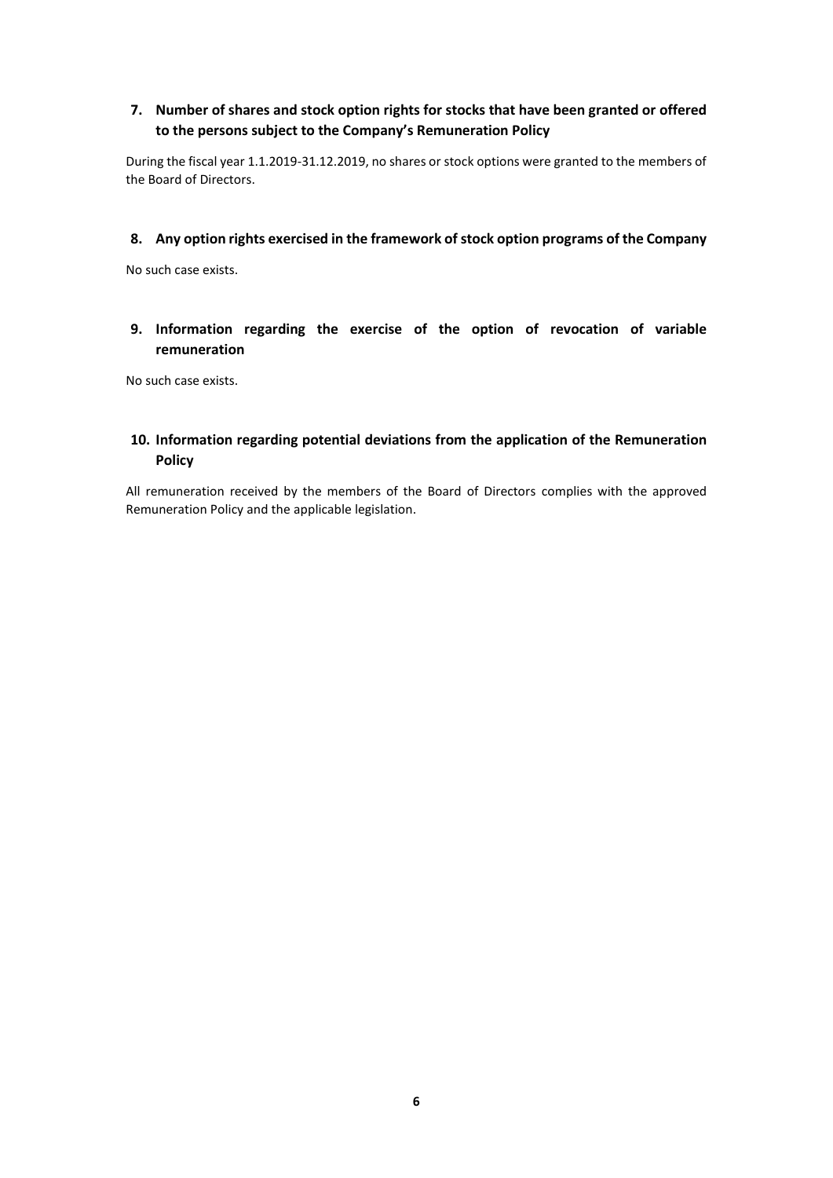# **7. Number of shares and stock option rights for stocks that have been granted or offered to the persons subject to the Company's Remuneration Policy**

During the fiscal year 1.1.2019-31.12.2019, no shares or stock options were granted to the members of the Board of Directors.

## **8. Any option rights exercised in the framework of stock option programs of the Company**

No such case exists.

# **9. Information regarding the exercise of the option of revocation of variable remuneration**

No such case exists.

# **10. Information regarding potential deviations from the application of the Remuneration Policy**

All remuneration received by the members of the Board of Directors complies with the approved Remuneration Policy and the applicable legislation.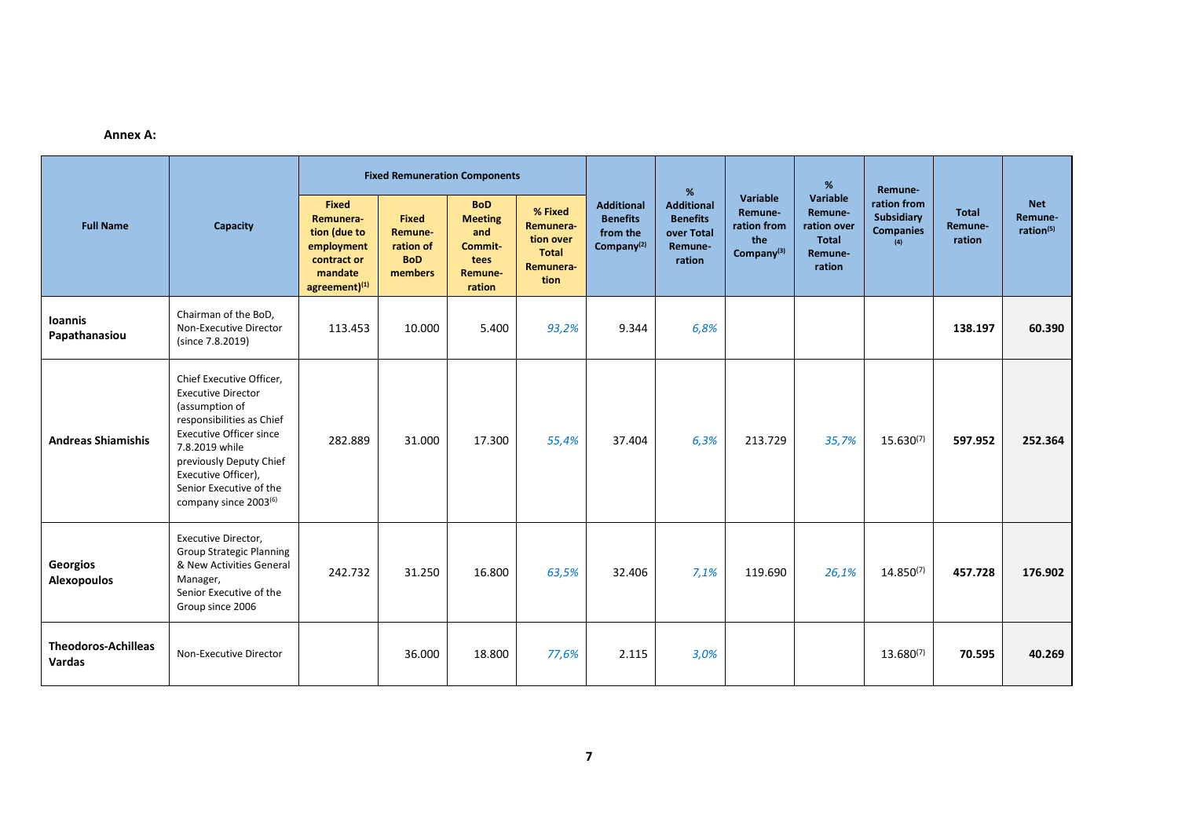#### **Annex A:**

| <b>Full Name</b>                     |                                                                                                                                                                                                                                                                            |                                                                                                    | <b>Fixed Remuneration Components</b>                          |                                                                             |                                                                 |                                                                            | %                                                                       |                                                            |                                                                         | Remune-                                              |                            |                                                |
|--------------------------------------|----------------------------------------------------------------------------------------------------------------------------------------------------------------------------------------------------------------------------------------------------------------------------|----------------------------------------------------------------------------------------------------|---------------------------------------------------------------|-----------------------------------------------------------------------------|-----------------------------------------------------------------|----------------------------------------------------------------------------|-------------------------------------------------------------------------|------------------------------------------------------------|-------------------------------------------------------------------------|------------------------------------------------------|----------------------------|------------------------------------------------|
|                                      | Capacity                                                                                                                                                                                                                                                                   | <b>Fixed</b><br>Remunera-<br>tion (due to<br>employment<br>contract or<br>mandate<br>agreement)(1) | <b>Fixed</b><br>Remune-<br>ration of<br><b>BoD</b><br>members | <b>BoD</b><br><b>Meeting</b><br>and<br>Commit-<br>tees<br>Remune-<br>ration | % Fixed<br>Remunera-<br>tion over<br>Total<br>Remunera-<br>tion | <b>Additional</b><br><b>Benefits</b><br>from the<br>Company <sup>(2)</sup> | <b>Additional</b><br><b>Benefits</b><br>over Total<br>Remune-<br>ration | Variable<br>Remune-<br>ration from<br>the<br>Company $(3)$ | Variable<br>Remune-<br>ration over<br><b>Total</b><br>Remune-<br>ration | ration from<br>Subsidiary<br><b>Companies</b><br>(4) | Total<br>Remune-<br>ration | <b>Net</b><br>Remune-<br>ration <sup>(5)</sup> |
| <b>Ioannis</b><br>Papathanasiou      | Chairman of the BoD,<br>Non-Executive Director<br>(since 7.8.2019)                                                                                                                                                                                                         | 113.453                                                                                            | 10.000                                                        | 5.400                                                                       | 93,2%                                                           | 9.344                                                                      | 6,8%                                                                    |                                                            |                                                                         |                                                      | 138.197                    | 60.390                                         |
| <b>Andreas Shiamishis</b>            | Chief Executive Officer,<br><b>Executive Director</b><br>(assumption of<br>responsibilities as Chief<br><b>Executive Officer since</b><br>7.8.2019 while<br>previously Deputy Chief<br>Executive Officer),<br>Senior Executive of the<br>company since 2003 <sup>(6)</sup> | 282.889                                                                                            | 31.000                                                        | 17.300                                                                      | 55,4%                                                           | 37.404                                                                     | 6,3%                                                                    | 213.729                                                    | 35,7%                                                                   | $15.630^{(7)}$                                       | 597.952                    | 252.364                                        |
| Georgios<br><b>Alexopoulos</b>       | Executive Director,<br><b>Group Strategic Planning</b><br>& New Activities General<br>Manager,<br>Senior Executive of the<br>Group since 2006                                                                                                                              | 242.732                                                                                            | 31.250                                                        | 16.800                                                                      | 63,5%                                                           | 32.406                                                                     | 7,1%                                                                    | 119.690                                                    | 26,1%                                                                   | $14.850^{(7)}$                                       | 457.728                    | 176.902                                        |
| <b>Theodoros-Achilleas</b><br>Vardas | Non-Executive Director                                                                                                                                                                                                                                                     |                                                                                                    | 36.000                                                        | 18.800                                                                      | 77,6%                                                           | 2.115                                                                      | 3,0%                                                                    |                                                            |                                                                         | $13.680^{(7)}$                                       | 70.595                     | 40.269                                         |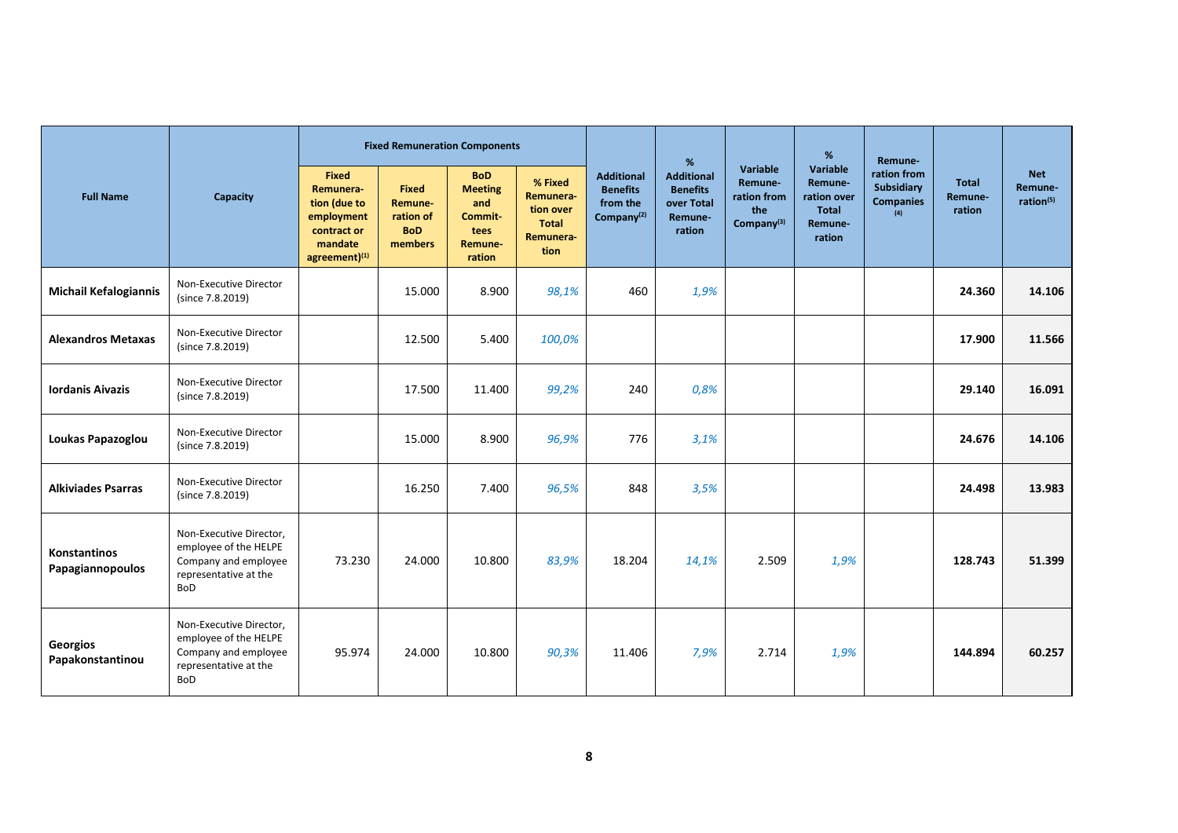|                                  |                                                                                                                 |                                                                                             | <b>Fixed Remuneration Components</b>                          |                                                                             |                                                                 |                                                                            | %                                                                       |                                                                     | %                                                                       | Remune-                                              |                            |                                                |
|----------------------------------|-----------------------------------------------------------------------------------------------------------------|---------------------------------------------------------------------------------------------|---------------------------------------------------------------|-----------------------------------------------------------------------------|-----------------------------------------------------------------|----------------------------------------------------------------------------|-------------------------------------------------------------------------|---------------------------------------------------------------------|-------------------------------------------------------------------------|------------------------------------------------------|----------------------------|------------------------------------------------|
| <b>Full Name</b>                 | Capacity                                                                                                        | Fixed<br>Remunera-<br>tion (due to<br>employment<br>contract or<br>mandate<br>agreement)(1) | <b>Fixed</b><br>Remune-<br>ration of<br><b>BoD</b><br>members | <b>BoD</b><br><b>Meeting</b><br>and<br>Commit-<br>tees<br>Remune-<br>ration | % Fixed<br>Remunera-<br>tion over<br>Total<br>Remunera-<br>tion | <b>Additional</b><br><b>Benefits</b><br>from the<br>Company <sup>(2)</sup> | <b>Additional</b><br><b>Benefits</b><br>over Total<br>Remune-<br>ration | Variable<br>Remune-<br>ration from<br>the<br>Company <sup>(3)</sup> | Variable<br>Remune-<br>ration over<br><b>Total</b><br>Remune-<br>ration | ration from<br>Subsidiary<br><b>Companies</b><br>(4) | Total<br>Remune-<br>ration | <b>Net</b><br>Remune-<br>ration <sup>(5)</sup> |
| <b>Michail Kefalogiannis</b>     | Non-Executive Director<br>(since 7.8.2019)                                                                      |                                                                                             | 15.000                                                        | 8.900                                                                       | 98,1%                                                           | 460                                                                        | 1,9%                                                                    |                                                                     |                                                                         |                                                      | 24.360                     | 14.106                                         |
| <b>Alexandros Metaxas</b>        | Non-Executive Director<br>(since 7.8.2019)                                                                      |                                                                                             | 12.500                                                        | 5.400                                                                       | 100,0%                                                          |                                                                            |                                                                         |                                                                     |                                                                         |                                                      | 17.900                     | 11.566                                         |
| <b>Iordanis Aivazis</b>          | Non-Executive Director<br>(since 7.8.2019)                                                                      |                                                                                             | 17.500                                                        | 11.400                                                                      | 99,2%                                                           | 240                                                                        | 0,8%                                                                    |                                                                     |                                                                         |                                                      | 29.140                     | 16.091                                         |
| Loukas Papazoglou                | Non-Executive Director<br>(since 7.8.2019)                                                                      |                                                                                             | 15.000                                                        | 8.900                                                                       | 96,9%                                                           | 776                                                                        | 3,1%                                                                    |                                                                     |                                                                         |                                                      | 24.676                     | 14.106                                         |
| <b>Alkiviades Psarras</b>        | Non-Executive Director<br>(since 7.8.2019)                                                                      |                                                                                             | 16.250                                                        | 7.400                                                                       | 96,5%                                                           | 848                                                                        | 3,5%                                                                    |                                                                     |                                                                         |                                                      | 24.498                     | 13.983                                         |
| Konstantinos<br>Papagiannopoulos | Non-Executive Director,<br>employee of the HELPE<br>Company and employee<br>representative at the<br><b>BoD</b> | 73.230                                                                                      | 24.000                                                        | 10.800                                                                      | 83,9%                                                           | 18.204                                                                     | 14,1%                                                                   | 2.509                                                               | 1,9%                                                                    |                                                      | 128.743                    | 51.399                                         |
| Georgios<br>Papakonstantinou     | Non-Executive Director,<br>employee of the HELPE<br>Company and employee<br>representative at the<br><b>BoD</b> | 95.974                                                                                      | 24.000                                                        | 10.800                                                                      | 90,3%                                                           | 11.406                                                                     | 7,9%                                                                    | 2.714                                                               | 1,9%                                                                    |                                                      | 144.894                    | 60.257                                         |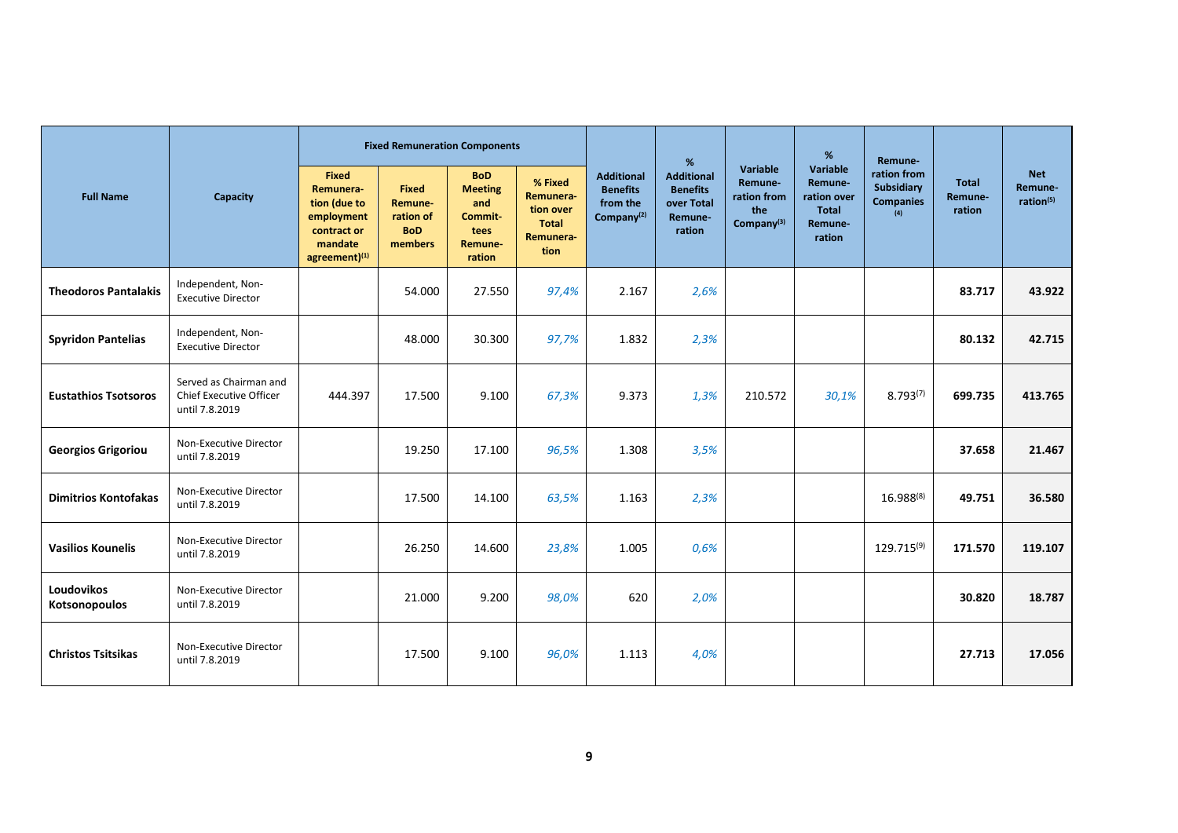| <b>Full Name</b>            |                                                                            |                                                                                                                  |                                                               | <b>Fixed Remuneration Components</b>                                        |                                                                        |                                                                            | %                                                                       |                                                            | %                                                                       | Remune-                                              |                                   |                                    |
|-----------------------------|----------------------------------------------------------------------------|------------------------------------------------------------------------------------------------------------------|---------------------------------------------------------------|-----------------------------------------------------------------------------|------------------------------------------------------------------------|----------------------------------------------------------------------------|-------------------------------------------------------------------------|------------------------------------------------------------|-------------------------------------------------------------------------|------------------------------------------------------|-----------------------------------|------------------------------------|
|                             | Capacity                                                                   | <b>Fixed</b><br>Remunera-<br>tion (due to<br>employment<br>contract or<br>mandate<br>$agreement)$ <sup>(1)</sup> | <b>Fixed</b><br>Remune-<br>ration of<br><b>BoD</b><br>members | <b>BoD</b><br><b>Meeting</b><br>and<br>Commit-<br>tees<br>Remune-<br>ration | % Fixed<br>Remunera-<br>tion over<br><b>Total</b><br>Remunera-<br>tion | <b>Additional</b><br><b>Benefits</b><br>from the<br>Company <sup>(2)</sup> | <b>Additional</b><br><b>Benefits</b><br>over Total<br>Remune-<br>ration | Variable<br>Remune-<br>ration from<br>the<br>Company $(3)$ | Variable<br>Remune-<br>ration over<br><b>Total</b><br>Remune-<br>ration | ration from<br>Subsidiary<br><b>Companies</b><br>(4) | <b>Total</b><br>Remune-<br>ration | <b>Net</b><br>Remune-<br>ration(5) |
| <b>Theodoros Pantalakis</b> | Independent, Non-<br><b>Executive Director</b>                             |                                                                                                                  | 54.000                                                        | 27.550                                                                      | 97,4%                                                                  | 2.167                                                                      | 2,6%                                                                    |                                                            |                                                                         |                                                      | 83.717                            | 43.922                             |
| <b>Spyridon Pantelias</b>   | Independent, Non-<br><b>Executive Director</b>                             |                                                                                                                  | 48.000                                                        | 30.300                                                                      | 97,7%                                                                  | 1.832                                                                      | 2,3%                                                                    |                                                            |                                                                         |                                                      | 80.132                            | 42.715                             |
| <b>Eustathios Tsotsoros</b> | Served as Chairman and<br><b>Chief Executive Officer</b><br>until 7.8.2019 | 444.397                                                                                                          | 17.500                                                        | 9.100                                                                       | 67,3%                                                                  | 9.373                                                                      | 1,3%                                                                    | 210.572                                                    | 30,1%                                                                   | $8.793^{(7)}$                                        | 699.735                           | 413.765                            |
| <b>Georgios Grigoriou</b>   | Non-Executive Director<br>until 7.8.2019                                   |                                                                                                                  | 19.250                                                        | 17.100                                                                      | 96,5%                                                                  | 1.308                                                                      | 3,5%                                                                    |                                                            |                                                                         |                                                      | 37.658                            | 21.467                             |
| <b>Dimitrios Kontofakas</b> | Non-Executive Director<br>until 7.8.2019                                   |                                                                                                                  | 17.500                                                        | 14.100                                                                      | 63,5%                                                                  | 1.163                                                                      | 2,3%                                                                    |                                                            |                                                                         | $16.988^{(8)}$                                       | 49.751                            | 36.580                             |
| <b>Vasilios Kounelis</b>    | Non-Executive Director<br>until 7.8.2019                                   |                                                                                                                  | 26.250                                                        | 14.600                                                                      | 23,8%                                                                  | 1.005                                                                      | 0,6%                                                                    |                                                            |                                                                         | 129.715(9)                                           | 171.570                           | 119.107                            |
| Loudovikos<br>Kotsonopoulos | Non-Executive Director<br>until 7.8.2019                                   |                                                                                                                  | 21.000                                                        | 9.200                                                                       | 98,0%                                                                  | 620                                                                        | 2,0%                                                                    |                                                            |                                                                         |                                                      | 30.820                            | 18.787                             |
| <b>Christos Tsitsikas</b>   | Non-Executive Director<br>until 7.8.2019                                   |                                                                                                                  | 17.500                                                        | 9.100                                                                       | 96,0%                                                                  | 1.113                                                                      | 4,0%                                                                    |                                                            |                                                                         |                                                      | 27.713                            | 17.056                             |